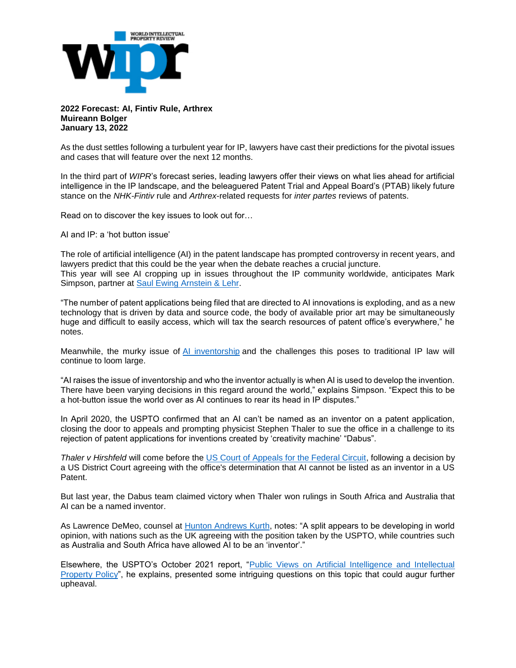

**2022 Forecast: AI, Fintiv Rule, Arthrex Muireann Bolger January 13, 2022**

As the dust settles following a turbulent year for IP, lawyers have cast their predictions for the pivotal issues and cases that will feature over the next 12 months.

In the third part of *WIPR*'s forecast series, leading lawyers offer their views on what lies ahead for artificial intelligence in the IP landscape, and the beleaguered Patent Trial and Appeal Board's (PTAB) likely future stance on the *NHK-Fintiv* rule and *Arthrex*-related requests for *inter partes* reviews of patents.

Read on to discover the key issues to look out for…

AI and IP: a 'hot button issue'

The role of artificial intelligence (AI) in the patent landscape has prompted controversy in recent years, and lawyers predict that this could be the year when the debate reaches a crucial juncture. This year will see AI cropping up in issues throughout the IP community worldwide, anticipates Mark Simpson, partner at [Saul Ewing Arnstein & Lehr.](https://nam12.safelinks.protection.outlook.com/?url=https%3A%2F%2Fwww.saul.com%2F&data=04%7C01%7Cnmatich%40McKoolSmith.com%7C5fbd5b93582a4534162808d9da9655fa%7Ca106bb62384d4c2293e4f660180b558c%7C0%7C0%7C637781163161146601%7CUnknown%7CTWFpbGZsb3d8eyJWIjoiMC4wLjAwMDAiLCJQIjoiV2luMzIiLCJBTiI6Ik1haWwiLCJXVCI6Mn0%3D%7C1000&sdata=hQkFRSsJhtRt2ZpqwlOWkvLVEMM73k4lRakyit1nt0g%3D&reserved=0)

"The number of patent applications being filed that are directed to AI innovations is exploding, and as a new technology that is driven by data and source code, the body of available prior art may be simultaneously huge and difficult to easily access, which will tax the search resources of patent office's everywhere," he notes.

Meanwhile, the murky issue of [AI inventorship](https://nam12.safelinks.protection.outlook.com/?url=https%3A%2F%2Fwww.worldipreview.com%2Farticle%2Fhas-justice-birss-found-a-route-for-ai-inventorship&data=04%7C01%7Cnmatich%40McKoolSmith.com%7C5fbd5b93582a4534162808d9da9655fa%7Ca106bb62384d4c2293e4f660180b558c%7C0%7C0%7C637781163161146601%7CUnknown%7CTWFpbGZsb3d8eyJWIjoiMC4wLjAwMDAiLCJQIjoiV2luMzIiLCJBTiI6Ik1haWwiLCJXVCI6Mn0%3D%7C1000&sdata=JbB7b%2F4RjLqkpeVORx6pzI3R%2BL%2Bal5K%2FRPIkbxnaZRs%3D&reserved=0) and the challenges this poses to traditional IP law will continue to loom large.

"AI raises the issue of inventorship and who the inventor actually is when AI is used to develop the invention. There have been varying decisions in this regard around the world," explains Simpson. "Expect this to be a hot-button issue the world over as AI continues to rear its head in IP disputes."

In April 2020, the USPTO confirmed that an AI can't be named as an inventor on a patent application, closing the door to appeals and prompting physicist Stephen Thaler to sue the office in a challenge to its rejection of patent applications for inventions created by 'creativity machine' "Dabus".

*Thaler v Hirshfeld* will come before the [US Court of Appeals for the Federal Circuit,](https://cafc.uscourts.gov/) following a decision by a US District Court agreeing with the office's determination that AI cannot be listed as an inventor in a US Patent.

But last year, the Dabus team claimed victory when Thaler won rulings in South Africa and Australia that AI can be a named inventor.

As Lawrence DeMeo, counsel at [Hunton Andrews Kurth,](https://nam12.safelinks.protection.outlook.com/?url=https%3A%2F%2Fwww.huntonak.com%2Fen%2F&data=04%7C01%7Cnmatich%40McKoolSmith.com%7C5fbd5b93582a4534162808d9da9655fa%7Ca106bb62384d4c2293e4f660180b558c%7C0%7C0%7C637781163161146601%7CUnknown%7CTWFpbGZsb3d8eyJWIjoiMC4wLjAwMDAiLCJQIjoiV2luMzIiLCJBTiI6Ik1haWwiLCJXVCI6Mn0%3D%7C1000&sdata=YdNmNDdOa1s%2FQEchnU%2FvoVQBl0Mi79ZVvDq37sRCdus%3D&reserved=0) notes: "A split appears to be developing in world opinion, with nations such as the UK agreeing with the position taken by the USPTO, while countries such as Australia and South Africa have allowed AI to be an 'inventor'."

Elsewhere, the USPTO's October 2021 report, ["Public Views on Artificial Intelligence and Intellectual](https://nam12.safelinks.protection.outlook.com/?url=https%3A%2F%2Fwww.uspto.gov%2Fabout-us%2Fnews-updates%2Fuspto-releases-report-artificial-intelligence-and-intellectual-property&data=04%7C01%7Cnmatich%40McKoolSmith.com%7C5fbd5b93582a4534162808d9da9655fa%7Ca106bb62384d4c2293e4f660180b558c%7C0%7C0%7C637781163161146601%7CUnknown%7CTWFpbGZsb3d8eyJWIjoiMC4wLjAwMDAiLCJQIjoiV2luMzIiLCJBTiI6Ik1haWwiLCJXVCI6Mn0%3D%7C1000&sdata=OT05UZiRO%2Bd6HYpJszo%2BgB4IFfOQSBdKXCEUfuTGrGE%3D&reserved=0)  [Property Policy"](https://nam12.safelinks.protection.outlook.com/?url=https%3A%2F%2Fwww.uspto.gov%2Fabout-us%2Fnews-updates%2Fuspto-releases-report-artificial-intelligence-and-intellectual-property&data=04%7C01%7Cnmatich%40McKoolSmith.com%7C5fbd5b93582a4534162808d9da9655fa%7Ca106bb62384d4c2293e4f660180b558c%7C0%7C0%7C637781163161146601%7CUnknown%7CTWFpbGZsb3d8eyJWIjoiMC4wLjAwMDAiLCJQIjoiV2luMzIiLCJBTiI6Ik1haWwiLCJXVCI6Mn0%3D%7C1000&sdata=OT05UZiRO%2Bd6HYpJszo%2BgB4IFfOQSBdKXCEUfuTGrGE%3D&reserved=0), he explains, presented some intriguing questions on this topic that could augur further upheaval.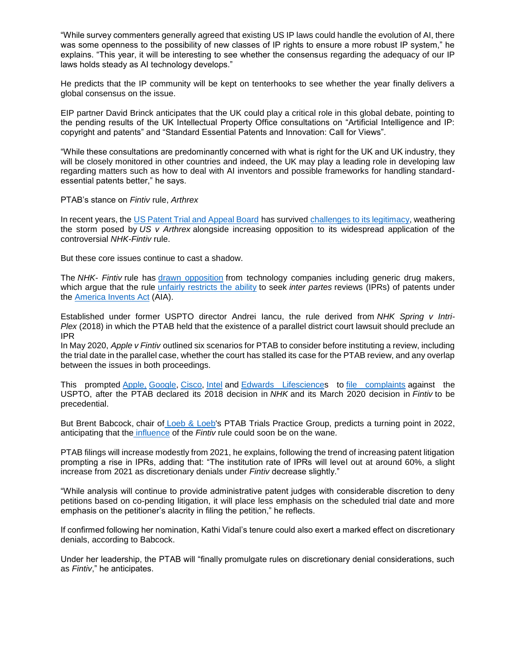"While survey commenters generally agreed that existing US IP laws could handle the evolution of AI, there was some openness to the possibility of new classes of IP rights to ensure a more robust IP system," he explains. "This year, it will be interesting to see whether the consensus regarding the adequacy of our IP laws holds steady as AI technology develops."

He predicts that the IP community will be kept on tenterhooks to see whether the year finally delivers a global consensus on the issue.

EIP partner David Brinck anticipates that the UK could play a critical role in this global debate, pointing to the pending results of the UK Intellectual Property Office consultations on "Artificial Intelligence and IP: copyright and patents" and "Standard Essential Patents and Innovation: Call for Views".

"While these consultations are predominantly concerned with what is right for the UK and UK industry, they will be closely monitored in other countries and indeed, the UK may play a leading role in developing law regarding matters such as how to deal with AI inventors and possible frameworks for handling standardessential patents better," he says.

PTAB's stance on *Fintiv* rule, *Arthrex*

In recent years, the [US Patent Trial and Appeal Board](https://nam12.safelinks.protection.outlook.com/?url=https%3A%2F%2Fwww.uspto.gov%2Fpatents%2Fptab&data=04%7C01%7Cnmatich%40McKoolSmith.com%7C5fbd5b93582a4534162808d9da9655fa%7Ca106bb62384d4c2293e4f660180b558c%7C0%7C0%7C637781163161146601%7CUnknown%7CTWFpbGZsb3d8eyJWIjoiMC4wLjAwMDAiLCJQIjoiV2luMzIiLCJBTiI6Ik1haWwiLCJXVCI6Mn0%3D%7C1000&sdata=rnsZUuEIe70f18Um3ZpZcEOgiQWZgyQfVLiPB1mqxts%3D&reserved=0) has survived [challenges to its legitimacy,](https://nam12.safelinks.protection.outlook.com/?url=https%3A%2F%2Fwww.worldipreview.com%2Farticle%2Fthe-ptab-s-post-arthrex-future&data=04%7C01%7Cnmatich%40McKoolSmith.com%7C5fbd5b93582a4534162808d9da9655fa%7Ca106bb62384d4c2293e4f660180b558c%7C0%7C0%7C637781163161146601%7CUnknown%7CTWFpbGZsb3d8eyJWIjoiMC4wLjAwMDAiLCJQIjoiV2luMzIiLCJBTiI6Ik1haWwiLCJXVCI6Mn0%3D%7C1000&sdata=Ifapy1tp8OrNsMwZy0h%2FfFVDYNcN9S2wuy34Ssx8q0c%3D&reserved=0) weathering the storm posed by *US v Arthrex* alongside increasing opposition to its widespread application of the controversial *NHK-Fintiv* rule.

But these core issues continue to cast a shadow.

The *NHK- Fintiv* rule has [drawn opposition](https://nam12.safelinks.protection.outlook.com/?url=https%3A%2F%2Fwww.worldipreview.com%2Farticle%2Fnhk-fintiv-reaching-the-tipping-point&data=04%7C01%7Cnmatich%40McKoolSmith.com%7C5fbd5b93582a4534162808d9da9655fa%7Ca106bb62384d4c2293e4f660180b558c%7C0%7C0%7C637781163161302835%7CUnknown%7CTWFpbGZsb3d8eyJWIjoiMC4wLjAwMDAiLCJQIjoiV2luMzIiLCJBTiI6Ik1haWwiLCJXVCI6Mn0%3D%7C1000&sdata=Bu%2FsNRV%2FMDO8Dw0jB25HPuM%2FBADDPjlzTitZxoYFphk%3D&reserved=0) from technology companies including generic drug makers, which argue that the rule [unfairly restricts the ability](https://nam12.safelinks.protection.outlook.com/?url=https%3A%2F%2Fwww.worldipreview.com%2Fnews%2Fnhk-fintiv-as-ptab-denials-mount-petitioners-seek-a-remedy-21171&data=04%7C01%7Cnmatich%40McKoolSmith.com%7C5fbd5b93582a4534162808d9da9655fa%7Ca106bb62384d4c2293e4f660180b558c%7C0%7C0%7C637781163161302835%7CUnknown%7CTWFpbGZsb3d8eyJWIjoiMC4wLjAwMDAiLCJQIjoiV2luMzIiLCJBTiI6Ik1haWwiLCJXVCI6Mn0%3D%7C1000&sdata=krvxOBSHOKyAKCs6kzhUoFa8MLxdMf6TTzpEvg0nr5w%3D&reserved=0) to seek *inter partes* reviews (IPRs) of patents under the [America Invents Act](https://nam12.safelinks.protection.outlook.com/?url=https%3A%2F%2Fen.wikipedia.org%2Fwiki%2FLeahy%25E2%2580%2593Smith_America_Invents_Act&data=04%7C01%7Cnmatich%40McKoolSmith.com%7C5fbd5b93582a4534162808d9da9655fa%7Ca106bb62384d4c2293e4f660180b558c%7C0%7C0%7C637781163161302835%7CUnknown%7CTWFpbGZsb3d8eyJWIjoiMC4wLjAwMDAiLCJQIjoiV2luMzIiLCJBTiI6Ik1haWwiLCJXVCI6Mn0%3D%7C1000&sdata=pY6fWL4smqkRg2jqK8FEPmWq4s7TvUbqnj3e1B1qTuU%3D&reserved=0) (AIA).

Established under former USPTO director Andrei Iancu, the rule derived from *NHK Spring v Intri-Plex* (2018) in which the PTAB held that the existence of a parallel district court lawsuit should preclude an IPR

In May 2020, *Apple v Fintiv* outlined six scenarios for PTAB to consider before instituting a review, including the trial date in the parallel case, whether the court has stalled its case for the PTAB review, and any overlap between the issues in both proceedings.

This prompted [Apple,](https://nam12.safelinks.protection.outlook.com/?url=https%3A%2F%2Fwww.apple.com%2Fuk%2F&data=04%7C01%7Cnmatich%40McKoolSmith.com%7C5fbd5b93582a4534162808d9da9655fa%7Ca106bb62384d4c2293e4f660180b558c%7C0%7C0%7C637781163161302835%7CUnknown%7CTWFpbGZsb3d8eyJWIjoiMC4wLjAwMDAiLCJQIjoiV2luMzIiLCJBTiI6Ik1haWwiLCJXVCI6Mn0%3D%7C1000&sdata=AeBwkbg2hNWFI31DsTvO9NLMrQCiONPEjdRvW4WNgMA%3D&reserved=0) [Google,](https://nam12.safelinks.protection.outlook.com/?url=https%3A%2F%2Fwww.google.co.uk%2F&data=04%7C01%7Cnmatich%40McKoolSmith.com%7C5fbd5b93582a4534162808d9da9655fa%7Ca106bb62384d4c2293e4f660180b558c%7C0%7C0%7C637781163161302835%7CUnknown%7CTWFpbGZsb3d8eyJWIjoiMC4wLjAwMDAiLCJQIjoiV2luMzIiLCJBTiI6Ik1haWwiLCJXVCI6Mn0%3D%7C1000&sdata=5%2BX%2F93XqRCSQaWgsxL9ME8AfpOMKFLeknQrha%2BzqXpQ%3D&reserved=0) [Cisco,](https://nam12.safelinks.protection.outlook.com/?url=https%3A%2F%2Fwww.cisco.com%2Fc%2Fen_uk%2Findex.html&data=04%7C01%7Cnmatich%40McKoolSmith.com%7C5fbd5b93582a4534162808d9da9655fa%7Ca106bb62384d4c2293e4f660180b558c%7C0%7C0%7C637781163161302835%7CUnknown%7CTWFpbGZsb3d8eyJWIjoiMC4wLjAwMDAiLCJQIjoiV2luMzIiLCJBTiI6Ik1haWwiLCJXVCI6Mn0%3D%7C1000&sdata=0LewzXmwQC4BXKcuqtLltWveJOjmq1mXFhMWSsCrsB8%3D&reserved=0) [Intel](https://nam12.safelinks.protection.outlook.com/?url=https%3A%2F%2Fwww.intel.co.uk%2Fcontent%2Fwww%2Fuk%2Fen%2Fhomepage.html&data=04%7C01%7Cnmatich%40McKoolSmith.com%7C5fbd5b93582a4534162808d9da9655fa%7Ca106bb62384d4c2293e4f660180b558c%7C0%7C0%7C637781163161302835%7CUnknown%7CTWFpbGZsb3d8eyJWIjoiMC4wLjAwMDAiLCJQIjoiV2luMzIiLCJBTiI6Ik1haWwiLCJXVCI6Mn0%3D%7C1000&sdata=Xr3Xyq6FZrZeUZntZhLa5Bseh4%2FAHZWK68KU8JSECQQ%3D&reserved=0) and [Edwards Lifesciences](https://nam12.safelinks.protection.outlook.com/?url=https%3A%2F%2Fwww.edwards.com%2Fgb&data=04%7C01%7Cnmatich%40McKoolSmith.com%7C5fbd5b93582a4534162808d9da9655fa%7Ca106bb62384d4c2293e4f660180b558c%7C0%7C0%7C637781163161302835%7CUnknown%7CTWFpbGZsb3d8eyJWIjoiMC4wLjAwMDAiLCJQIjoiV2luMzIiLCJBTiI6Ik1haWwiLCJXVCI6Mn0%3D%7C1000&sdata=VXIeXO9e0JRgOhAf3ODEXUh6Q%2FpyUQmr%2Fhl86pXMjdI%3D&reserved=0) to [file complaints](https://nam12.safelinks.protection.outlook.com/?url=https%3A%2F%2Fwww.worldipreview.com%2Fnews%2Ftech-giants-back-nhk-fintiv-challenge-21667&data=04%7C01%7Cnmatich%40McKoolSmith.com%7C5fbd5b93582a4534162808d9da9655fa%7Ca106bb62384d4c2293e4f660180b558c%7C0%7C0%7C637781163161302835%7CUnknown%7CTWFpbGZsb3d8eyJWIjoiMC4wLjAwMDAiLCJQIjoiV2luMzIiLCJBTiI6Ik1haWwiLCJXVCI6Mn0%3D%7C1000&sdata=klbn0MkqFf%2BOD9ftUREHFvukZGfSc6ZTy2RUOR6Muhs%3D&reserved=0) against the USPTO, after the PTAB declared its 2018 decision in *NHK* and its March 2020 decision in *Fintiv* to be precedential.

But Brent Babcock, chair of [Loeb & Loeb's](https://nam12.safelinks.protection.outlook.com/?url=https%3A%2F%2Fwww.loeb.com%2Fen&data=04%7C01%7Cnmatich%40McKoolSmith.com%7C5fbd5b93582a4534162808d9da9655fa%7Ca106bb62384d4c2293e4f660180b558c%7C0%7C0%7C637781163161302835%7CUnknown%7CTWFpbGZsb3d8eyJWIjoiMC4wLjAwMDAiLCJQIjoiV2luMzIiLCJBTiI6Ik1haWwiLCJXVCI6Mn0%3D%7C1000&sdata=c1CVqXdaepUwa5uacnaIliRWJBIMUEpp%2F%2FX2C5YyQAs%3D&reserved=0) PTAB Trials Practice Group, predicts a turning point in 2022, anticipating that the [influence](https://nam12.safelinks.protection.outlook.com/?url=https%3A%2F%2Fwww.worldipreview.com%2Fnews%2Fptab-almost-always-wrong-on-fintiv-trial-dates-research-reveals-21869&data=04%7C01%7Cnmatich%40McKoolSmith.com%7C5fbd5b93582a4534162808d9da9655fa%7Ca106bb62384d4c2293e4f660180b558c%7C0%7C0%7C637781163161302835%7CUnknown%7CTWFpbGZsb3d8eyJWIjoiMC4wLjAwMDAiLCJQIjoiV2luMzIiLCJBTiI6Ik1haWwiLCJXVCI6Mn0%3D%7C1000&sdata=4DiskB1Sc6rPIRAPyz%2Fuli%2F4pdYR2X0HILXsLumBHjs%3D&reserved=0) of the *Fintiv* rule could soon be on the wane.

PTAB filings will increase modestly from 2021, he explains, following the trend of increasing patent litigation prompting a rise in IPRs, adding that: "The institution rate of IPRs will level out at around 60%, a slight increase from 2021 as discretionary denials under *Fintiv* decrease slightly."

"While analysis will continue to provide administrative patent judges with considerable discretion to deny petitions based on co-pending litigation, it will place less emphasis on the scheduled trial date and more emphasis on the petitioner's alacrity in filing the petition," he reflects.

If confirmed following her nomination, Kathi Vidal's tenure could also exert a marked effect on discretionary denials, according to Babcock.

Under her leadership, the PTAB will "finally promulgate rules on discretionary denial considerations, such as *Fintiv*," he anticipates.